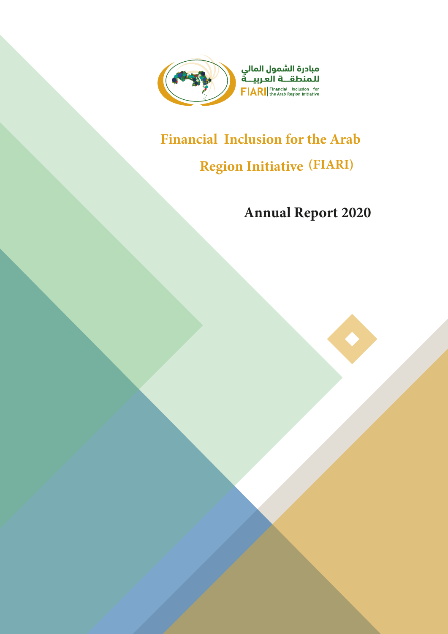

# **Financial Inclusion for the Arab**

# **Region Initiative (FIARI)**

# **Annual Report 2020**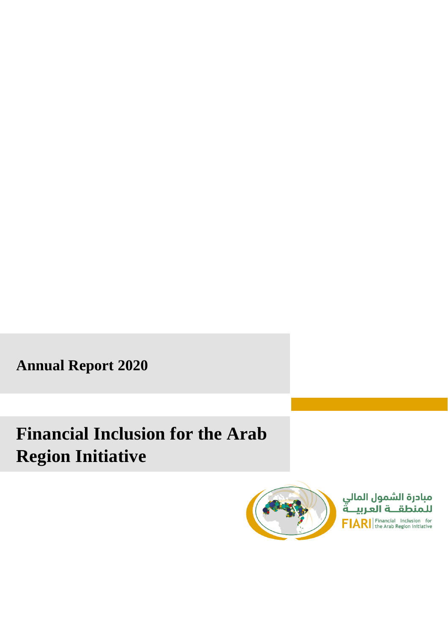**Annual Report 2020**

# **Financial Inclusion for the Arab Region Initiative** Preface



Preface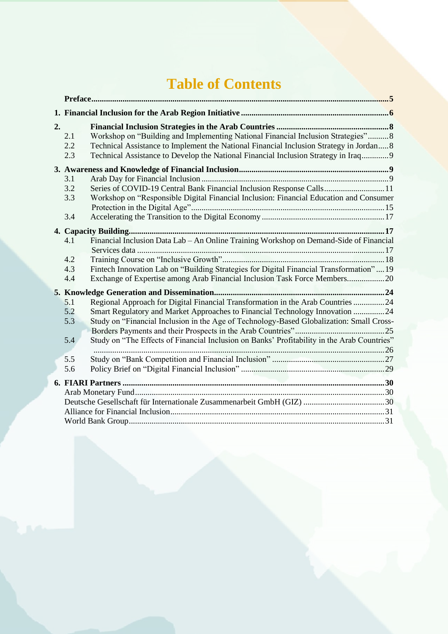# **Table of Contents**

| 2. | 2.1<br>2.2<br>2.3        | Workshop on "Building and Implementing National Financial Inclusion Strategies"8<br>Technical Assistance to Implement the National Financial Inclusion Strategy in Jordan 8<br>Technical Assistance to Develop the National Financial Inclusion Strategy in Iraq 9                                                                                         |  |
|----|--------------------------|------------------------------------------------------------------------------------------------------------------------------------------------------------------------------------------------------------------------------------------------------------------------------------------------------------------------------------------------------------|--|
|    |                          |                                                                                                                                                                                                                                                                                                                                                            |  |
|    | 3.1<br>3.2<br>3.3        | Series of COVID-19 Central Bank Financial Inclusion Response Calls11<br>Workshop on "Responsible Digital Financial Inclusion: Financial Education and Consumer                                                                                                                                                                                             |  |
|    | 3.4                      |                                                                                                                                                                                                                                                                                                                                                            |  |
|    |                          |                                                                                                                                                                                                                                                                                                                                                            |  |
|    | 4.1<br>4.2<br>4.3<br>4.4 | Financial Inclusion Data Lab - An Online Training Workshop on Demand-Side of Financial<br>Fintech Innovation Lab on "Building Strategies for Digital Financial Transformation"19<br>Exchange of Expertise among Arab Financial Inclusion Task Force Members20                                                                                              |  |
|    |                          |                                                                                                                                                                                                                                                                                                                                                            |  |
|    | 5.1<br>5.2<br>5.3<br>5.4 | Regional Approach for Digital Financial Transformation in the Arab Countries 24<br>Smart Regulatory and Market Approaches to Financial Technology Innovation 24<br>Study on "Financial Inclusion in the Age of Technology-Based Globalization: Small Cross-<br>Study on "The Effects of Financial Inclusion on Banks' Profitability in the Arab Countries" |  |
|    | 5.5                      |                                                                                                                                                                                                                                                                                                                                                            |  |
|    | 5.6                      |                                                                                                                                                                                                                                                                                                                                                            |  |
|    |                          |                                                                                                                                                                                                                                                                                                                                                            |  |
|    |                          |                                                                                                                                                                                                                                                                                                                                                            |  |
|    |                          |                                                                                                                                                                                                                                                                                                                                                            |  |
|    |                          |                                                                                                                                                                                                                                                                                                                                                            |  |
|    |                          |                                                                                                                                                                                                                                                                                                                                                            |  |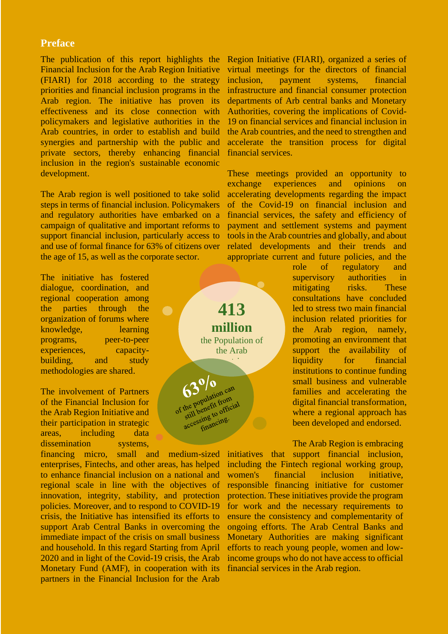### <span id="page-3-0"></span>**Preface**

The publication of this report highlights the Financial Inclusion for the Arab Region Initiative (FIARI) for 2018 according to the strategy priorities and financial inclusion programs in the Arab region. The initiative has proven its effectiveness and its close connection with policymakers and legislative authorities in the Arab countries, in order to establish and build synergies and partnership with the public and private sectors, thereby enhancing financial inclusion in the region's sustainable economic development.

The Arab region is well positioned to take solid steps in terms of financial inclusion. Policymakers and regulatory authorities have embarked on a campaign of qualitative and important reforms to support financial inclusion, particularly access to and use of formal finance for 63% of citizens over the age of 15, as well as the corporate sector.

 $\qquad \qquad \bullet$ 

The initiative has fostered dialogue, coordination, and regional cooperation among the parties through the organization of forums where knowledge, learning programs, peer-to-peer experiences, capacitybuilding, and study methodologies are shared.

The involvement of Partners of the Financial Inclusion for the Arab Region Initiative and their participation in strategic areas, including data dissemination systems,

financing micro, small and medium-sized enterprises, Fintechs, and other areas, has helped to enhance financial inclusion on a national and regional scale in line with the objectives of innovation, integrity, stability, and protection policies. Moreover, and to respond to COVID-19 crisis, the Initiative has intensified its efforts to support Arab Central Banks in overcoming the immediate impact of the crisis on small business and household. In this regard Starting from April 2020 and in light of the Covid-19 crisis, the Arab Monetary Fund (AMF), in cooperation with its partners in the Financial Inclusion for the Arab Region Initiative (FIARI), organized a series of virtual meetings for the directors of financial inclusion, payment systems, financial infrastructure and financial consumer protection departments of Arb central banks and Monetary Authorities, covering the implications of Covid-19 on financial services and financial inclusion in the Arab countries, and the need to strengthen and accelerate the transition process for digital financial services.

These meetings provided an opportunity to exchange experiences and opinions on accelerating developments regarding the impact of the Covid-19 on financial inclusion and financial services, the safety and efficiency of payment and settlement systems and payment tools in the Arab countries and globally, and about related developments and their trends and appropriate current and future policies, and the

**413** 

**million** the Population of the Arab countries and the countries

 $\mathbf{0/0}$ 63 0 0<br>the population can the population can<br>the population from<br>still benefit from the populate from<br>still benefit from<br>still beng to official<br>accessing to me. role of regulatory and supervisory authorities in mitigating risks. These consultations have concluded led to stress two main financial inclusion related priorities for the Arab region, namely, promoting an environment that support the availability of liquidity for financial institutions to continue funding small business and vulnerable families and accelerating the digital financial transformation, where a regional approach has been developed and endorsed.

The Arab Region is embracing initiatives that support financial inclusion, including the Fintech regional working group, women's financial inclusion initiative, responsible financing initiative for customer protection. These initiatives provide the program for work and the necessary requirements to ensure the consistency and complementarity of ongoing efforts. The Arab Central Banks and Monetary Authorities are making significant efforts to reach young people, women and lowincome groups who do not have access to official financial services in the Arab region.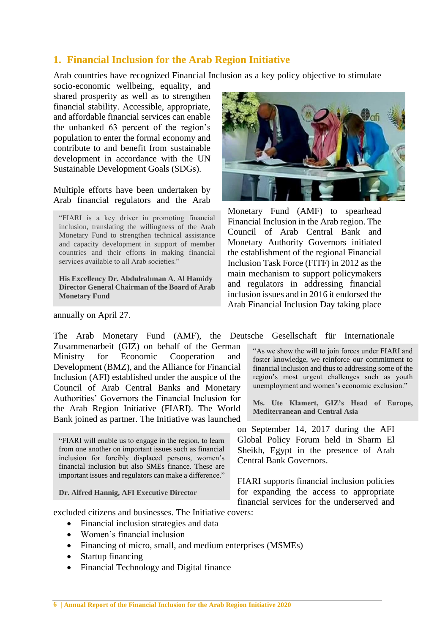# <span id="page-4-0"></span>**1. Financial Inclusion for the Arab Region Initiative**

Arab countries have recognized Financial Inclusion as a key policy objective to stimulate

socio-economic wellbeing, equality, and shared prosperity as well as to strengthen financial stability. Accessible, appropriate, and affordable financial services can enable the unbanked 63 percent of the region's population to enter the formal economy and contribute to and benefit from sustainable development in accordance with the UN Sustainable Development Goals (SDGs).

Multiple efforts have been undertaken by Arab financial regulators and the Arab

"FIARI is a key driver in promoting financial inclusion, translating the willingness of the Arab Monetary Fund to strengthen technical assistance and capacity development in support of member countries and their efforts in making financial services available to all Arab societies."

**His Excellency Dr. Abdulrahman A. Al Hamidy Director General Chairman of the Board of Arab Monetary Fund**

annually on April 27.

The Arab Monetary Fund (AMF), the Deutsche Gesellschaft für Internationale Zusammenarbeit (GIZ) on behalf of the German Ministry for Economic Cooperation and Development (BMZ), and the Alliance for Financial Inclusion (AFI) established under the auspice of the Council of Arab Central Banks and Monetary Authorities' Governors the Financial Inclusion for the Arab Region Initiative (FIARI). The World Bank joined as partner. The Initiative was launched

"FIARI will enable us to engage in the region, to learn from one another on important issues such as financial inclusion for forcibly displaced persons, women's financial inclusion but also SMEs finance. These are important issues and regulators can make a difference."

**Dr. Alfred Hannig, AFI Executive Director**



Monetary Fund (AMF) to spearhead Financial Inclusion in the Arab region. The Council of Arab Central Bank and Monetary Authority Governors initiated the establishment of the regional Financial Inclusion Task Force (FITF) in 2012 as the main mechanism to support policymakers and regulators in addressing financial inclusion issues and in 2016 it endorsed the Arab Financial Inclusion Day taking place

"As we show the will to join forces under FIARI and foster knowledge, we reinforce our commitment to financial inclusion and thus to addressing some of the region's most urgent challenges such as youth unemployment and women's economic exclusion."

**Ms. Ute Klamert, GIZ's Head of Europe, Mediterranean and Central Asia**

on September 14, 2017 during the AFI Global Policy Forum held in Sharm El Sheikh, Egypt in the presence of Arab Central Bank Governors.

FIARI supports financial inclusion policies for expanding the access to appropriate financial services for the underserved and

excluded citizens and businesses. The Initiative covers:

- Financial inclusion strategies and data
- Women's financial inclusion
- Financing of micro, small, and medium enterprises (MSMEs)
- Startup financing
- Financial Technology and Digital finance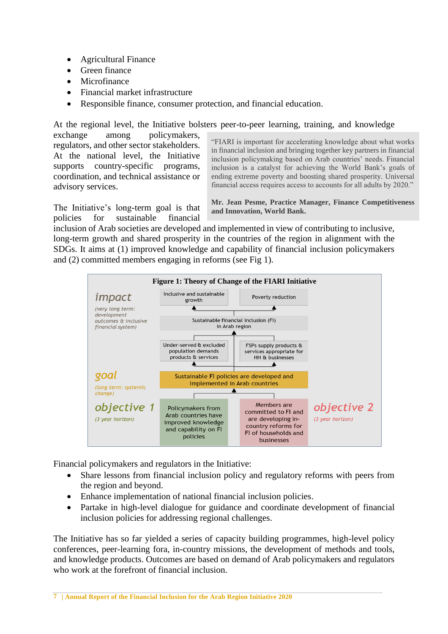- Agricultural Finance
- Green finance
- Microfinance
- Financial market infrastructure
- Responsible finance, consumer protection, and financial education.

At the regional level, the Initiative bolsters peer-to-peer learning, training, and knowledge exchange among policymakers, regulators, and other sector stakeholders. At the national level, the Initiative supports country-specific programs, coordination, and technical assistance or advisory services.

"FIARI is important for accelerating knowledge about what works in financial inclusion and bringing together key partners in financial inclusion policymaking based on Arab countries' needs. Financial inclusion is a catalyst for achieving the World Bank's goals of ending extreme poverty and boosting shared prosperity. Universal financial access requires access to accounts for all adults by 2020."

The Initiative's long-term goal is that policies for sustainable financial

**Mr. Jean Pesme, Practice Manager, Finance Competitiveness and Innovation, World Bank.**

inclusion of Arab societies are developed and implemented in view of contributing to inclusive, long-term growth and shared prosperity in the countries of the region in alignment with the SDGs. It aims at (1) improved knowledge and capability of financial inclusion policymakers and (2) committed members engaging in reforms (see Fig 1).



Financial policymakers and regulators in the Initiative:

- Share lessons from financial inclusion policy and regulatory reforms with peers from the region and beyond.
- Enhance implementation of national financial inclusion policies.
- Partake in high-level dialogue for guidance and coordinate development of financial inclusion policies for addressing regional challenges.

The Initiative has so far yielded a series of capacity building programmes, high-level policy conferences, peer-learning fora, in-country missions, the development of methods and tools, and knowledge products. Outcomes are based on demand of Arab policymakers and regulators who work at the forefront of financial inclusion.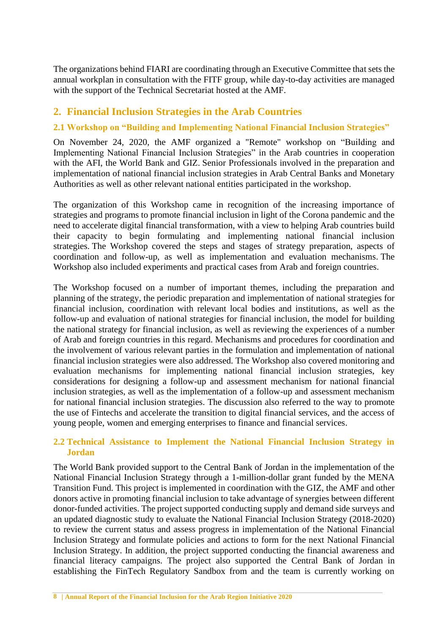The organizations behind FIARI are coordinating through an Executive Committee that sets the annual workplan in consultation with the FITF group, while day-to-day activities are managed with the support of the Technical Secretariat hosted at the AMF.

# <span id="page-6-0"></span>**2. Financial Inclusion Strategies in the Arab Countries**

# <span id="page-6-1"></span>**2.1 Workshop on "Building and Implementing National Financial Inclusion Strategies"**

On November 24, 2020, the AMF organized a "Remote" workshop on "Building and Implementing National Financial Inclusion Strategies" in the Arab countries in cooperation with the AFI, the World Bank and GIZ. Senior Professionals involved in the preparation and implementation of national financial inclusion strategies in Arab Central Banks and Monetary Authorities as well as other relevant national entities participated in the workshop.

The organization of this Workshop came in recognition of the increasing importance of strategies and programs to promote financial inclusion in light of the Corona pandemic and the need to accelerate digital financial transformation, with a view to helping Arab countries build their capacity to begin formulating and implementing national financial inclusion strategies. The Workshop covered the steps and stages of strategy preparation, aspects of coordination and follow-up, as well as implementation and evaluation mechanisms. The Workshop also included experiments and practical cases from Arab and foreign countries.

The Workshop focused on a number of important themes, including the preparation and planning of the strategy, the periodic preparation and implementation of national strategies for financial inclusion, coordination with relevant local bodies and institutions, as well as the follow-up and evaluation of national strategies for financial inclusion, the model for building the national strategy for financial inclusion, as well as reviewing the experiences of a number of Arab and foreign countries in this regard. Mechanisms and procedures for coordination and the involvement of various relevant parties in the formulation and implementation of national financial inclusion strategies were also addressed. The Workshop also covered monitoring and evaluation mechanisms for implementing national financial inclusion strategies, key considerations for designing a follow-up and assessment mechanism for national financial inclusion strategies, as well as the implementation of a follow-up and assessment mechanism for national financial inclusion strategies. The discussion also referred to the way to promote the use of Fintechs and accelerate the transition to digital financial services, and the access of young people, women and emerging enterprises to finance and financial services.

# <span id="page-6-2"></span>**2.2 Technical Assistance to Implement the National Financial Inclusion Strategy in Jordan**

The World Bank provided support to the Central Bank of Jordan in the implementation of the National Financial Inclusion Strategy through a 1-million-dollar grant funded by the MENA Transition Fund. This project is implemented in coordination with the GIZ, the AMF and other donors active in promoting financial inclusion to take advantage of synergies between different donor-funded activities. The project supported conducting supply and demand side surveys and an updated diagnostic study to evaluate the National Financial Inclusion Strategy (2018-2020) to review the current status and assess progress in implementation of the National Financial Inclusion Strategy and formulate policies and actions to form for the next National Financial Inclusion Strategy. In addition, the project supported conducting the financial awareness and financial literacy campaigns. The project also supported the Central Bank of Jordan in establishing the FinTech Regulatory Sandbox from and the team is currently working on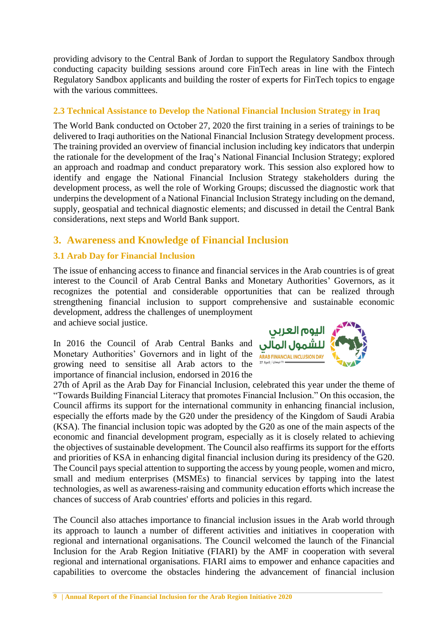providing advisory to the Central Bank of Jordan to support the Regulatory Sandbox through conducting capacity building sessions around core FinTech areas in line with the Fintech Regulatory Sandbox applicants and building the roster of experts for FinTech topics to engage with the various committees.

# <span id="page-7-0"></span>**2.3 Technical Assistance to Develop the National Financial Inclusion Strategy in Iraq**

The World Bank conducted on October 27, 2020 the first training in a series of trainings to be delivered to Iraqi authorities on the National Financial Inclusion Strategy development process. The training provided an overview of financial inclusion including key indicators that underpin the rationale for the development of the Iraq's National Financial Inclusion Strategy; explored an approach and roadmap and conduct preparatory work. This session also explored how to identify and engage the National Financial Inclusion Strategy stakeholders during the development process, as well the role of Working Groups; discussed the diagnostic work that underpins the development of a National Financial Inclusion Strategy including on the demand, supply, geospatial and technical diagnostic elements; and discussed in detail the Central Bank considerations, next steps and World Bank support.

# <span id="page-7-1"></span>**3. Awareness and Knowledge of Financial Inclusion**

# <span id="page-7-2"></span>**3.1 Arab Day for Financial Inclusion**

The issue of enhancing access to finance and financial services in the Arab countries is of great interest to the Council of Arab Central Banks and Monetary Authorities' Governors, as it recognizes the potential and considerable opportunities that can be realized through strengthening financial inclusion to support comprehensive and sustainable economic development, address the challenges of unemployment and achieve social justice.

In 2016 the Council of Arab Central Banks and Monetary Authorities' Governors and in light of the **ARAB FINANCIAL INCLUSION DAY** growing need to sensitise all Arab actors to the importance of financial inclusion, endorsed in 2016 the



27th of April as the Arab Day for Financial Inclusion, celebrated this year under the theme of "Towards Building Financial Literacy that promotes Financial Inclusion." On this occasion, the Council affirms its support for the international community in enhancing financial inclusion, especially the efforts made by the G20 under the presidency of the Kingdom of Saudi Arabia (KSA). The financial inclusion topic was adopted by the G20 as one of the main aspects of the economic and financial development program, especially as it is closely related to achieving the objectives of sustainable development. The Council also reaffirms its support for the efforts and priorities of KSA in enhancing digital financial inclusion during its presidency of the G20. The Council pays special attention to supporting the access by young people, women and micro, small and medium enterprises (MSMEs) to financial services by tapping into the latest technologies, as well as awareness-raising and community education efforts which increase the chances of success of Arab countries' efforts and policies in this regard.

The Council also attaches importance to financial inclusion issues in the Arab world through its approach to launch a number of different activities and initiatives in cooperation with regional and international organisations. The Council welcomed the launch of the Financial Inclusion for the Arab Region Initiative (FIARI) by the AMF in cooperation with several regional and international organisations. FIARI aims to empower and enhance capacities and capabilities to overcome the obstacles hindering the advancement of financial inclusion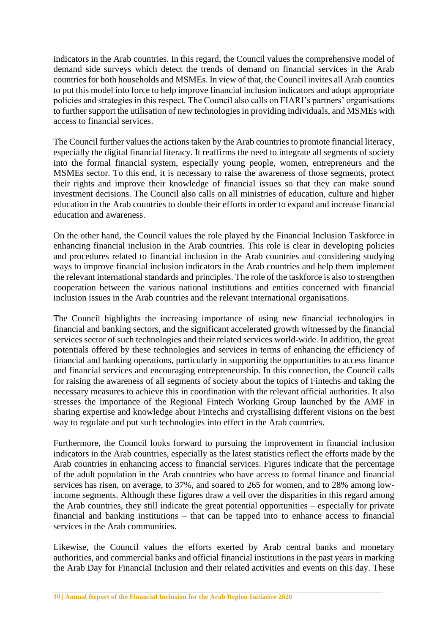indicators in the Arab countries. In this regard, the Council values the comprehensive model of demand side surveys which detect the trends of demand on financial services in the Arab countries for both households and MSMEs. In view of that, the Council invites all Arab counties to put this model into force to help improve financial inclusion indicators and adopt appropriate policies and strategies in this respect. The Council also calls on FIARI's partners' organisations to further support the utilisation of new technologies in providing individuals, and MSMEs with access to financial services.

The Council further values the actions taken by the Arab countries to promote financial literacy, especially the digital financial literacy. It reaffirms the need to integrate all segments of society into the formal financial system, especially young people, women, entrepreneurs and the MSMEs sector. To this end, it is necessary to raise the awareness of those segments, protect their rights and improve their knowledge of financial issues so that they can make sound investment decisions. The Council also calls on all ministries of education, culture and higher education in the Arab countries to double their efforts in order to expand and increase financial education and awareness.

On the other hand, the Council values the role played by the Financial Inclusion Taskforce in enhancing financial inclusion in the Arab countries. This role is clear in developing policies and procedures related to financial inclusion in the Arab countries and considering studying ways to improve financial inclusion indicators in the Arab countries and help them implement the relevant international standards and principles. The role of the taskforce is also to strengthen cooperation between the various national institutions and entities concerned with financial inclusion issues in the Arab countries and the relevant international organisations.

The Council highlights the increasing importance of using new financial technologies in financial and banking sectors, and the significant accelerated growth witnessed by the financial services sector of such technologies and their related services world-wide. In addition, the great potentials offered by these technologies and services in terms of enhancing the efficiency of financial and banking operations, particularly in supporting the opportunities to access finance and financial services and encouraging entrepreneurship. In this connection, the Council calls for raising the awareness of all segments of society about the topics of Fintechs and taking the necessary measures to achieve this in coordination with the relevant official authorities. It also stresses the importance of the Regional Fintech Working Group launched by the AMF in sharing expertise and knowledge about Fintechs and crystallising different visions on the best way to regulate and put such technologies into effect in the Arab countries.

Furthermore, the Council looks forward to pursuing the improvement in financial inclusion indicators in the Arab countries, especially as the latest statistics reflect the efforts made by the Arab countries in enhancing access to financial services. Figures indicate that the percentage of the adult population in the Arab countries who have access to formal finance and financial services has risen, on average, to 37%, and soared to 265 for women, and to 28% among lowincome segments. Although these figures draw a veil over the disparities in this regard among the Arab countries, they still indicate the great potential opportunities – especially for private financial and banking institutions – that can be tapped into to enhance access to financial services in the Arab communities.

Likewise, the Council values the efforts exerted by Arab central banks and monetary authorities, and commercial banks and official financial institutions in the past years in marking the Arab Day for Financial Inclusion and their related activities and events on this day. These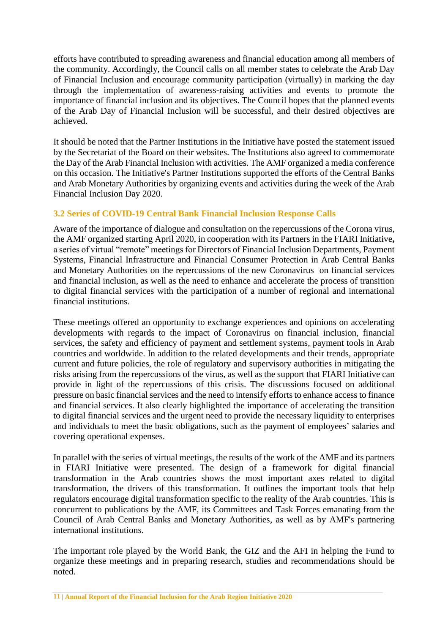efforts have contributed to spreading awareness and financial education among all members of the community. Accordingly, the Council calls on all member states to celebrate the Arab Day of Financial Inclusion and encourage community participation (virtually) in marking the day through the implementation of awareness-raising activities and events to promote the importance of financial inclusion and its objectives. The Council hopes that the planned events of the Arab Day of Financial Inclusion will be successful, and their desired objectives are achieved.

It should be noted that the Partner Institutions in the Initiative have posted the statement issued by the Secretariat of the Board on their websites. The Institutions also agreed to commemorate the Day of the Arab Financial Inclusion with activities. The AMF organized a media conference on this occasion. The Initiative's Partner Institutions supported the efforts of the Central Banks and Arab Monetary Authorities by organizing events and activities during the week of the Arab Financial Inclusion Day 2020.

# <span id="page-9-0"></span>**3.2 Series of COVID-19 Central Bank Financial Inclusion Response Calls**

Aware of the importance of dialogue and consultation on the repercussions of the Corona virus, the AMF organized starting April 2020, in cooperation with its Partners in the FIARI Initiative**,**  a series of virtual "remote" meetings for Directors of Financial Inclusion Departments, Payment Systems, Financial Infrastructure and Financial Consumer Protection in Arab Central Banks and Monetary Authorities on the repercussions of the new Coronavirus on financial services and financial inclusion, as well as the need to enhance and accelerate the process of transition to digital financial services with the participation of a number of regional and international financial institutions.

These meetings offered an opportunity to exchange experiences and opinions on accelerating developments with regards to the impact of Coronavirus on financial inclusion, financial services, the safety and efficiency of payment and settlement systems, payment tools in Arab countries and worldwide. In addition to the related developments and their trends, appropriate current and future policies, the role of regulatory and supervisory authorities in mitigating the risks arising from the repercussions of the virus, as well as the support that FIARI Initiative can provide in light of the repercussions of this crisis. The discussions focused on additional pressure on basic financial services and the need to intensify efforts to enhance access to finance and financial services. It also clearly highlighted the importance of accelerating the transition to digital financial services and the urgent need to provide the necessary liquidity to enterprises and individuals to meet the basic obligations, such as the payment of employees' salaries and covering operational expenses.

In parallel with the series of virtual meetings, the results of the work of the AMF and its partners in FIARI Initiative were presented. The design of a framework for digital financial transformation in the Arab countries shows the most important axes related to digital transformation, the drivers of this transformation. It outlines the important tools that help regulators encourage digital transformation specific to the reality of the Arab countries. This is concurrent to publications by the AMF, its Committees and Task Forces emanating from the Council of Arab Central Banks and Monetary Authorities, as well as by AMF's partnering international institutions.

The important role played by the World Bank, the GIZ and the AFI in helping the Fund to organize these meetings and in preparing research, studies and recommendations should be noted.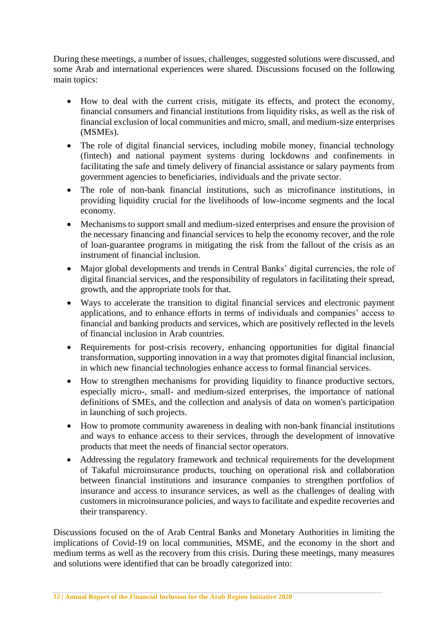During these meetings, a number of issues, challenges, suggested solutions were discussed, and some Arab and international experiences were shared. Discussions focused on the following main topics:

- How to deal with the current crisis, mitigate its effects, and protect the economy, financial consumers and financial institutions from liquidity risks, as well as the risk of financial exclusion of local communities and micro, small, and medium-size enterprises (MSMEs).
- The role of digital financial services, including mobile money, financial technology (fintech) and national payment systems during lockdowns and confinements in facilitating the safe and timely delivery of financial assistance or salary payments from government agencies to beneficiaries, individuals and the private sector.
- The role of non-bank financial institutions, such as microfinance institutions, in providing liquidity crucial for the livelihoods of low-income segments and the local economy.
- Mechanisms to support small and medium-sized enterprises and ensure the provision of the necessary financing and financial services to help the economy recover, and the role of loan-guarantee programs in mitigating the risk from the fallout of the crisis as an instrument of financial inclusion.
- Major global developments and trends in Central Banks' digital currencies, the role of digital financial services, and the responsibility of regulators in facilitating their spread, growth, and the appropriate tools for that.
- Ways to accelerate the transition to digital financial services and electronic payment applications, and to enhance efforts in terms of individuals and companies' access to financial and banking products and services, which are positively reflected in the levels of financial inclusion in Arab countries.
- Requirements for post-crisis recovery, enhancing opportunities for digital financial transformation, supporting innovation in a way that promotes digital financial inclusion, in which new financial technologies enhance access to formal financial services.
- How to strengthen mechanisms for providing liquidity to finance productive sectors, especially micro-, small- and medium-sized enterprises, the importance of national definitions of SMEs, and the collection and analysis of data on women's participation in launching of such projects.
- How to promote community awareness in dealing with non-bank financial institutions and ways to enhance access to their services, through the development of innovative products that meet the needs of financial sector operators.
- Addressing the regulatory framework and technical requirements for the development of Takaful microinsurance products, touching on operational risk and collaboration between financial institutions and insurance companies to strengthen portfolios of insurance and access to insurance services, as well as the challenges of dealing with customers in microinsurance policies, and ways to facilitate and expedite recoveries and their transparency.

Discussions focused on the of Arab Central Banks and Monetary Authorities in limiting the implications of Covid-19 on local communities, MSME, and the economy in the short and medium terms as well as the recovery from this crisis. During these meetings, many measures and solutions were identified that can be broadly categorized into: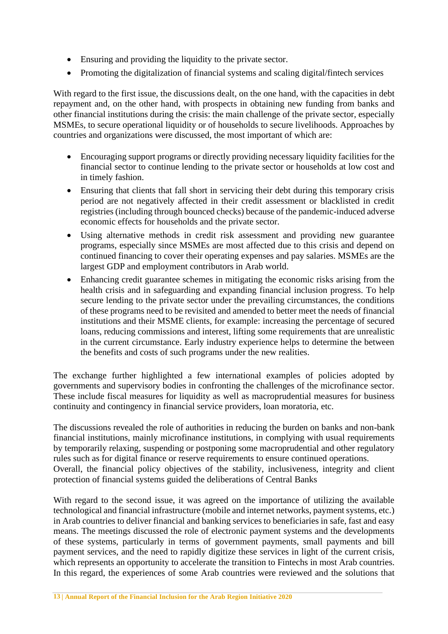- Ensuring and providing the liquidity to the private sector.
- Promoting the digitalization of financial systems and scaling digital/fintech services

With regard to the first issue, the discussions dealt, on the one hand, with the capacities in debt repayment and, on the other hand, with prospects in obtaining new funding from banks and other financial institutions during the crisis: the main challenge of the private sector, especially MSMEs, to secure operational liquidity or of households to secure livelihoods. Approaches by countries and organizations were discussed, the most important of which are:

- Encouraging support programs or directly providing necessary liquidity facilities for the financial sector to continue lending to the private sector or households at low cost and in timely fashion.
- Ensuring that clients that fall short in servicing their debt during this temporary crisis period are not negatively affected in their credit assessment or blacklisted in credit registries (including through bounced checks) because of the pandemic-induced adverse economic effects for households and the private sector.
- Using alternative methods in credit risk assessment and providing new guarantee programs, especially since MSMEs are most affected due to this crisis and depend on continued financing to cover their operating expenses and pay salaries. MSMEs are the largest GDP and employment contributors in Arab world.
- Enhancing credit guarantee schemes in mitigating the economic risks arising from the health crisis and in safeguarding and expanding financial inclusion progress. To help secure lending to the private sector under the prevailing circumstances, the conditions of these programs need to be revisited and amended to better meet the needs of financial institutions and their MSME clients, for example: increasing the percentage of secured loans, reducing commissions and interest, lifting some requirements that are unrealistic in the current circumstance. Early industry experience helps to determine the between the benefits and costs of such programs under the new realities.

The exchange further highlighted a few international examples of policies adopted by governments and supervisory bodies in confronting the challenges of the microfinance sector. These include fiscal measures for liquidity as well as macroprudential measures for business continuity and contingency in financial service providers, loan moratoria, etc.

The discussions revealed the role of authorities in reducing the burden on banks and non-bank financial institutions, mainly microfinance institutions, in complying with usual requirements by temporarily relaxing, suspending or postponing some macroprudential and other regulatory rules such as for digital finance or reserve requirements to ensure continued operations. Overall, the financial policy objectives of the stability, inclusiveness, integrity and client protection of financial systems guided the deliberations of Central Banks

With regard to the second issue, it was agreed on the importance of utilizing the available technological and financial infrastructure (mobile and internet networks, payment systems, etc.) in Arab countries to deliver financial and banking services to beneficiaries in safe, fast and easy means. The meetings discussed the role of electronic payment systems and the developments of these systems, particularly in terms of government payments, small payments and bill payment services, and the need to rapidly digitize these services in light of the current crisis, which represents an opportunity to accelerate the transition to Fintechs in most Arab countries. In this regard, the experiences of some Arab countries were reviewed and the solutions that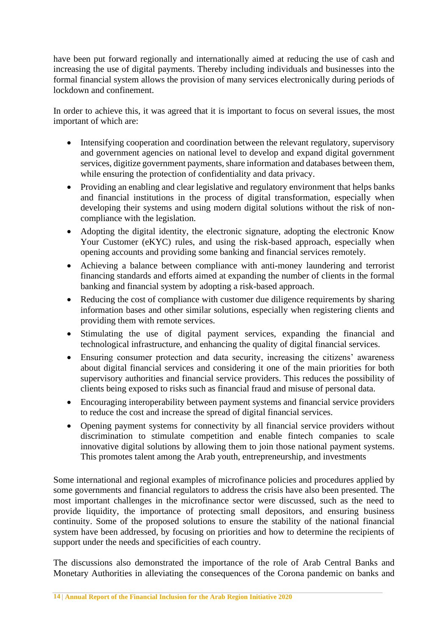have been put forward regionally and internationally aimed at reducing the use of cash and increasing the use of digital payments. Thereby including individuals and businesses into the formal financial system allows the provision of many services electronically during periods of lockdown and confinement.

In order to achieve this, it was agreed that it is important to focus on several issues, the most important of which are:

- Intensifying cooperation and coordination between the relevant regulatory, supervisory and government agencies on national level to develop and expand digital government services, digitize government payments, share information and databases between them, while ensuring the protection of confidentiality and data privacy.
- Providing an enabling and clear legislative and regulatory environment that helps banks and financial institutions in the process of digital transformation, especially when developing their systems and using modern digital solutions without the risk of noncompliance with the legislation.
- Adopting the digital identity, the electronic signature, adopting the electronic Know Your Customer (eKYC) rules, and using the risk-based approach, especially when opening accounts and providing some banking and financial services remotely.
- Achieving a balance between compliance with anti-money laundering and terrorist financing standards and efforts aimed at expanding the number of clients in the formal banking and financial system by adopting a risk-based approach.
- Reducing the cost of compliance with customer due diligence requirements by sharing information bases and other similar solutions, especially when registering clients and providing them with remote services.
- Stimulating the use of digital payment services, expanding the financial and technological infrastructure, and enhancing the quality of digital financial services.
- Ensuring consumer protection and data security, increasing the citizens' awareness about digital financial services and considering it one of the main priorities for both supervisory authorities and financial service providers. This reduces the possibility of clients being exposed to risks such as financial fraud and misuse of personal data.
- Encouraging interoperability between payment systems and financial service providers to reduce the cost and increase the spread of digital financial services.
- Opening payment systems for connectivity by all financial service providers without discrimination to stimulate competition and enable fintech companies to scale innovative digital solutions by allowing them to join those national payment systems. This promotes talent among the Arab youth, entrepreneurship, and investments

Some international and regional examples of microfinance policies and procedures applied by some governments and financial regulators to address the crisis have also been presented. The most important challenges in the microfinance sector were discussed, such as the need to provide liquidity, the importance of protecting small depositors, and ensuring business continuity. Some of the proposed solutions to ensure the stability of the national financial system have been addressed, by focusing on priorities and how to determine the recipients of support under the needs and specificities of each country.

The discussions also demonstrated the importance of the role of Arab Central Banks and Monetary Authorities in alleviating the consequences of the Corona pandemic on banks and

**<sup>14</sup> | Annual Report of the Financial Inclusion for the Arab Region Initiative 2020**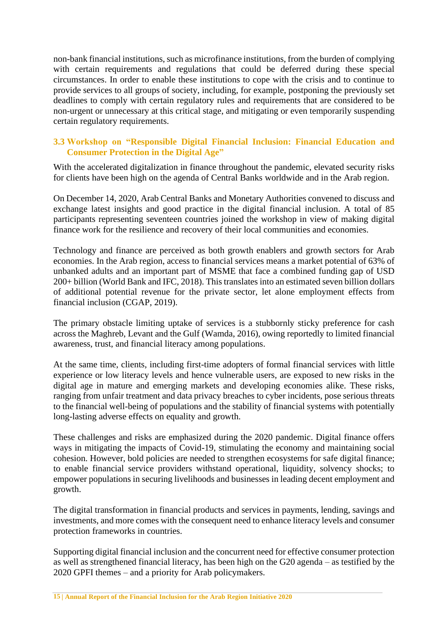non-bank financial institutions, such as microfinance institutions, from the burden of complying with certain requirements and regulations that could be deferred during these special circumstances. In order to enable these institutions to cope with the crisis and to continue to provide services to all groups of society, including, for example, postponing the previously set deadlines to comply with certain regulatory rules and requirements that are considered to be non-urgent or unnecessary at this critical stage, and mitigating or even temporarily suspending certain regulatory requirements.

# <span id="page-13-0"></span>**3.3 Workshop on "Responsible Digital Financial Inclusion: Financial Education and Consumer Protection in the Digital Age"**

With the accelerated digitalization in finance throughout the pandemic, elevated security risks for clients have been high on the agenda of Central Banks worldwide and in the Arab region.

On December 14, 2020, Arab Central Banks and Monetary Authorities convened to discuss and exchange latest insights and good practice in the digital financial inclusion. A total of 85 participants representing seventeen countries joined the workshop in view of making digital finance work for the resilience and recovery of their local communities and economies.

Technology and finance are perceived as both growth enablers and growth sectors for Arab economies. In the Arab region, access to financial services means a market potential of 63% of unbanked adults and an important part of MSME that face a combined funding gap of USD 200+ billion (World Bank and IFC, 2018). This translates into an estimated seven billion dollars of additional potential revenue for the private sector, let alone employment effects from financial inclusion (CGAP, 2019).

The primary obstacle limiting uptake of services is a stubbornly sticky preference for cash across the Maghreb, Levant and the Gulf (Wamda, 2016), owing reportedly to limited financial awareness, trust, and financial literacy among populations.

At the same time, clients, including first-time adopters of formal financial services with little experience or low literacy levels and hence vulnerable users, are exposed to new risks in the digital age in mature and emerging markets and developing economies alike. These risks, ranging from unfair treatment and data privacy breaches to cyber incidents, pose serious threats to the financial well-being of populations and the stability of financial systems with potentially long-lasting adverse effects on equality and growth.

These challenges and risks are emphasized during the 2020 pandemic. Digital finance offers ways in mitigating the impacts of Covid-19, stimulating the economy and maintaining social cohesion. However, bold policies are needed to strengthen ecosystems for safe digital finance; to enable financial service providers withstand operational, liquidity, solvency shocks; to empower populations in securing livelihoods and businesses in leading decent employment and growth.

The digital transformation in financial products and services in payments, lending, savings and investments, and more comes with the consequent need to enhance literacy levels and consumer protection frameworks in countries.

Supporting digital financial inclusion and the concurrent need for effective consumer protection as well as strengthened financial literacy, has been high on the G20 agenda – as testified by the 2020 GPFI themes – and a priority for Arab policymakers.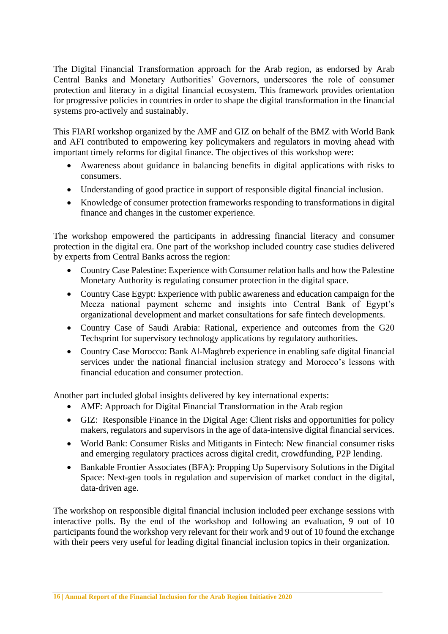The Digital Financial Transformation approach for the Arab region, as endorsed by Arab Central Banks and Monetary Authorities' Governors, underscores the role of consumer protection and literacy in a digital financial ecosystem. This framework provides orientation for progressive policies in countries in order to shape the digital transformation in the financial systems pro-actively and sustainably.

This FIARI workshop organized by the AMF and GIZ on behalf of the BMZ with World Bank and AFI contributed to empowering key policymakers and regulators in moving ahead with important timely reforms for digital finance. The objectives of this workshop were:

- Awareness about guidance in balancing benefits in digital applications with risks to consumers.
- Understanding of good practice in support of responsible digital financial inclusion.
- Knowledge of consumer protection frameworks responding to transformations in digital finance and changes in the customer experience.

The workshop empowered the participants in addressing financial literacy and consumer protection in the digital era. One part of the workshop included country case studies delivered by experts from Central Banks across the region:

- Country Case Palestine: Experience with Consumer relation halls and how the Palestine Monetary Authority is regulating consumer protection in the digital space.
- Country Case Egypt: Experience with public awareness and education campaign for the Meeza national payment scheme and insights into Central Bank of Egypt's organizational development and market consultations for safe fintech developments.
- Country Case of Saudi Arabia: Rational, experience and outcomes from the G20 Techsprint for supervisory technology applications by regulatory authorities.
- Country Case Morocco: Bank Al-Maghreb experience in enabling safe digital financial services under the national financial inclusion strategy and Morocco's lessons with financial education and consumer protection.

Another part included global insights delivered by key international experts:

- AMF: Approach for Digital Financial Transformation in the Arab region
- GIZ: Responsible Finance in the Digital Age: Client risks and opportunities for policy makers, regulators and supervisors in the age of data-intensive digital financial services.
- World Bank: Consumer Risks and Mitigants in Fintech: New financial consumer risks and emerging regulatory practices across digital credit, crowdfunding, P2P lending.
- Bankable Frontier Associates (BFA): Propping Up Supervisory Solutions in the Digital Space: Next-gen tools in regulation and supervision of market conduct in the digital, data-driven age.

The workshop on responsible digital financial inclusion included peer exchange sessions with interactive polls. By the end of the workshop and following an evaluation, 9 out of 10 participants found the workshop very relevant for their work and 9 out of 10 found the exchange with their peers very useful for leading digital financial inclusion topics in their organization.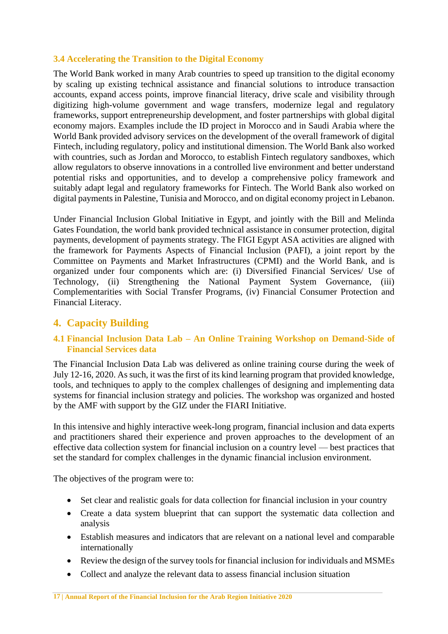# <span id="page-15-0"></span>**3.4 Accelerating the Transition to the Digital Economy**

The World Bank worked in many Arab countries to speed up transition to the digital economy by scaling up existing technical assistance and financial solutions to introduce transaction accounts, expand access points, improve financial literacy, drive scale and visibility through digitizing high-volume government and wage transfers, modernize legal and regulatory frameworks, support entrepreneurship development, and foster partnerships with global digital economy majors. Examples include the ID project in Morocco and in Saudi Arabia where the World Bank provided advisory services on the development of the overall framework of digital Fintech, including regulatory, policy and institutional dimension. The World Bank also worked with countries, such as Jordan and Morocco, to establish Fintech regulatory sandboxes, which allow regulators to observe innovations in a controlled live environment and better understand potential risks and opportunities, and to develop a comprehensive policy framework and suitably adapt legal and regulatory frameworks for Fintech. The World Bank also worked on digital payments in Palestine, Tunisia and Morocco, and on digital economy project in Lebanon.

Under Financial Inclusion Global Initiative in Egypt, and jointly with the Bill and Melinda Gates Foundation, the world bank provided technical assistance in consumer protection, digital payments, development of payments strategy. The FIGI Egypt ASA activities are aligned with the framework for Payments Aspects of Financial Inclusion (PAFI), a joint report by the Committee on Payments and Market Infrastructures (CPMI) and the World Bank, and is organized under four components which are: (i) Diversified Financial Services/ Use of Technology, (ii) Strengthening the National Payment System Governance, (iii) Complementarities with Social Transfer Programs, (iv) Financial Consumer Protection and Financial Literacy.

# <span id="page-15-1"></span>**4. Capacity Building**

# <span id="page-15-2"></span>**4.1 Financial Inclusion Data Lab – An Online Training Workshop on Demand-Side of Financial Services data**

The Financial Inclusion Data Lab was delivered as online training course during the week of July 12-16, 2020. As such, it was the first of its kind learning program that provided knowledge, tools, and techniques to apply to the complex challenges of designing and implementing data systems for financial inclusion strategy and policies. The workshop was organized and hosted by the AMF with support by the GIZ under the FIARI Initiative.

In this intensive and highly interactive week-long program, financial inclusion and data experts and practitioners shared their experience and proven approaches to the development of an effective data collection system for financial inclusion on a country level — best practices that set the standard for complex challenges in the dynamic financial inclusion environment.

The objectives of the program were to:

- Set clear and realistic goals for data collection for financial inclusion in your country
- Create a data system blueprint that can support the systematic data collection and analysis
- Establish measures and indicators that are relevant on a national level and comparable internationally
- Review the design of the survey tools for financial inclusion for individuals and MSMEs
- Collect and analyze the relevant data to assess financial inclusion situation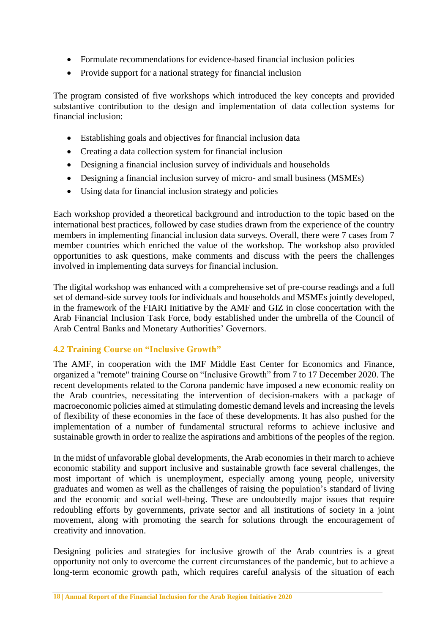- Formulate recommendations for evidence-based financial inclusion policies
- Provide support for a national strategy for financial inclusion

The program consisted of five workshops which introduced the key concepts and provided substantive contribution to the design and implementation of data collection systems for financial inclusion:

- Establishing goals and objectives for financial inclusion data
- Creating a data collection system for financial inclusion
- Designing a financial inclusion survey of individuals and households
- Designing a financial inclusion survey of micro- and small business (MSMEs)
- Using data for financial inclusion strategy and policies

Each workshop provided a theoretical background and introduction to the topic based on the international best practices, followed by case studies drawn from the experience of the country members in implementing financial inclusion data surveys. Overall, there were 7 cases from 7 member countries which enriched the value of the workshop. The workshop also provided opportunities to ask questions, make comments and discuss with the peers the challenges involved in implementing data surveys for financial inclusion.

The digital workshop was enhanced with a comprehensive set of pre-course readings and a full set of demand-side survey tools for individuals and households and MSMEs jointly developed, in the framework of the FIARI Initiative by the AMF and GIZ in close concertation with the Arab Financial Inclusion Task Force, body established under the umbrella of the Council of Arab Central Banks and Monetary Authorities' Governors.

# <span id="page-16-0"></span>**4.2 Training Course on "Inclusive Growth"**

The AMF, in cooperation with the IMF Middle East Center for Economics and Finance, organized a "remote" training Course on "Inclusive Growth" from 7 to 17 December 2020. The recent developments related to the Corona pandemic have imposed a new economic reality on the Arab countries, necessitating the intervention of decision-makers with a package of macroeconomic policies aimed at stimulating domestic demand levels and increasing the levels of flexibility of these economies in the face of these developments. It has also pushed for the implementation of a number of fundamental structural reforms to achieve inclusive and sustainable growth in order to realize the aspirations and ambitions of the peoples of the region.

In the midst of unfavorable global developments, the Arab economies in their march to achieve economic stability and support inclusive and sustainable growth face several challenges, the most important of which is unemployment, especially among young people, university graduates and women as well as the challenges of raising the population's standard of living and the economic and social well-being. These are undoubtedly major issues that require redoubling efforts by governments, private sector and all institutions of society in a joint movement, along with promoting the search for solutions through the encouragement of creativity and innovation.

Designing policies and strategies for inclusive growth of the Arab countries is a great opportunity not only to overcome the current circumstances of the pandemic, but to achieve a long-term economic growth path, which requires careful analysis of the situation of each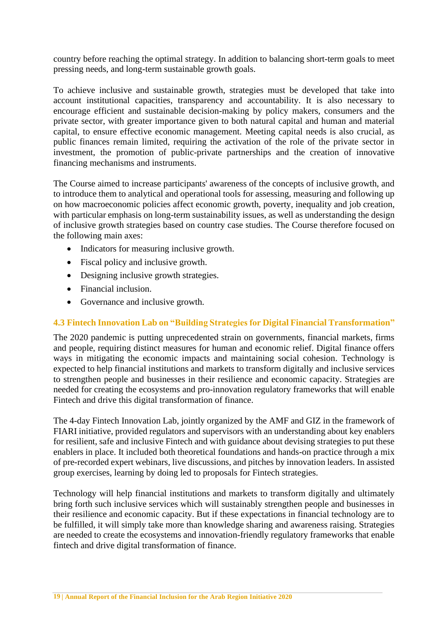country before reaching the optimal strategy. In addition to balancing short-term goals to meet pressing needs, and long-term sustainable growth goals.

To achieve inclusive and sustainable growth, strategies must be developed that take into account institutional capacities, transparency and accountability. It is also necessary to encourage efficient and sustainable decision-making by policy makers, consumers and the private sector, with greater importance given to both natural capital and human and material capital, to ensure effective economic management. Meeting capital needs is also crucial, as public finances remain limited, requiring the activation of the role of the private sector in investment, the promotion of public-private partnerships and the creation of innovative financing mechanisms and instruments.

The Course aimed to increase participants' awareness of the concepts of inclusive growth, and to introduce them to analytical and operational tools for assessing, measuring and following up on how macroeconomic policies affect economic growth, poverty, inequality and job creation, with particular emphasis on long-term sustainability issues, as well as understanding the design of inclusive growth strategies based on country case studies. The Course therefore focused on the following main axes:

- Indicators for measuring inclusive growth.
- Fiscal policy and inclusive growth.
- Designing inclusive growth strategies.
- Financial inclusion.
- Governance and inclusive growth.

# <span id="page-17-0"></span>**4.3 Fintech Innovation Lab on "Building Strategies for Digital Financial Transformation"**

The 2020 pandemic is putting unprecedented strain on governments, financial markets, firms and people, requiring distinct measures for human and economic relief. Digital finance offers ways in mitigating the economic impacts and maintaining social cohesion. Technology is expected to help financial institutions and markets to transform digitally and inclusive services to strengthen people and businesses in their resilience and economic capacity. Strategies are needed for creating the ecosystems and pro-innovation regulatory frameworks that will enable Fintech and drive this digital transformation of finance.

The 4-day Fintech Innovation Lab, jointly organized by the AMF and GIZ in the framework of FIARI initiative, provided regulators and supervisors with an understanding about key enablers for resilient, safe and inclusive Fintech and with guidance about devising strategies to put these enablers in place. It included both theoretical foundations and hands-on practice through a mix of pre-recorded expert webinars, live discussions, and pitches by innovation leaders. In assisted group exercises, learning by doing led to proposals for Fintech strategies.

Technology will help financial institutions and markets to transform digitally and ultimately bring forth such inclusive services which will sustainably strengthen people and businesses in their resilience and economic capacity. But if these expectations in financial technology are to be fulfilled, it will simply take more than knowledge sharing and awareness raising. Strategies are needed to create the ecosystems and innovation-friendly regulatory frameworks that enable fintech and drive digital transformation of finance.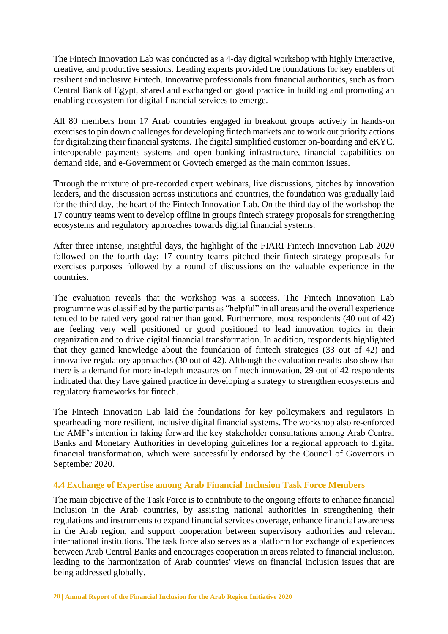The Fintech Innovation Lab was conducted as a 4-day digital workshop with highly interactive, creative, and productive sessions. Leading experts provided the foundations for key enablers of resilient and inclusive Fintech. Innovative professionals from financial authorities, such as from Central Bank of Egypt, shared and exchanged on good practice in building and promoting an enabling ecosystem for digital financial services to emerge.

All 80 members from 17 Arab countries engaged in breakout groups actively in hands-on exercises to pin down challenges for developing fintech markets and to work out priority actions for digitalizing their financial systems. The digital simplified customer on-boarding and eKYC, interoperable payments systems and open banking infrastructure, financial capabilities on demand side, and e-Government or Govtech emerged as the main common issues.

Through the mixture of pre-recorded expert webinars, live discussions, pitches by innovation leaders, and the discussion across institutions and countries, the foundation was gradually laid for the third day, the heart of the Fintech Innovation Lab. On the third day of the workshop the 17 country teams went to develop offline in groups fintech strategy proposals for strengthening ecosystems and regulatory approaches towards digital financial systems.

After three intense, insightful days, the highlight of the FIARI Fintech Innovation Lab 2020 followed on the fourth day: 17 country teams pitched their fintech strategy proposals for exercises purposes followed by a round of discussions on the valuable experience in the countries.

The evaluation reveals that the workshop was a success. The Fintech Innovation Lab programme was classified by the participants as "helpful" in all areas and the overall experience tended to be rated very good rather than good. Furthermore, most respondents (40 out of 42) are feeling very well positioned or good positioned to lead innovation topics in their organization and to drive digital financial transformation. In addition, respondents highlighted that they gained knowledge about the foundation of fintech strategies (33 out of 42) and innovative regulatory approaches (30 out of 42). Although the evaluation results also show that there is a demand for more in-depth measures on fintech innovation, 29 out of 42 respondents indicated that they have gained practice in developing a strategy to strengthen ecosystems and regulatory frameworks for fintech.

The Fintech Innovation Lab laid the foundations for key policymakers and regulators in spearheading more resilient, inclusive digital financial systems. The workshop also re-enforced the AMF's intention in taking forward the key stakeholder consultations among Arab Central Banks and Monetary Authorities in developing guidelines for a regional approach to digital financial transformation, which were successfully endorsed by the Council of Governors in September 2020.

# <span id="page-18-0"></span>**4.4 Exchange of Expertise among Arab Financial Inclusion Task Force Members**

The main objective of the Task Force is to contribute to the ongoing efforts to enhance financial inclusion in the Arab countries, by assisting national authorities in strengthening their regulations and instruments to expand financial services coverage, enhance financial awareness in the Arab region, and support cooperation between supervisory authorities and relevant international institutions. The task force also serves as a platform for exchange of experiences between Arab Central Banks and encourages cooperation in areas related to financial inclusion, leading to the harmonization of Arab countries' views on financial inclusion issues that are being addressed globally.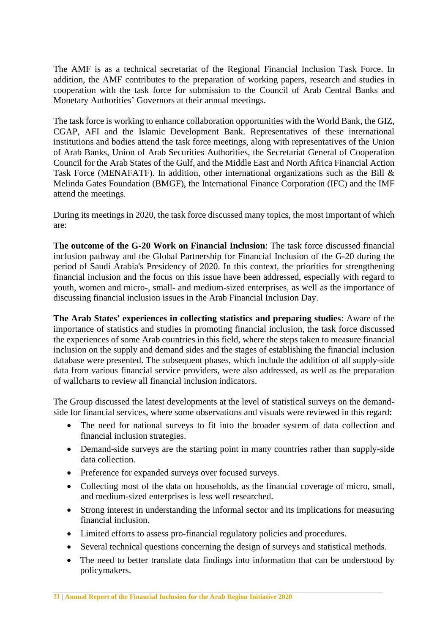The AMF is as a technical secretariat of the Regional Financial Inclusion Task Force. In addition, the AMF contributes to the preparation of working papers, research and studies in cooperation with the task force for submission to the Council of Arab Central Banks and Monetary Authorities' Governors at their annual meetings.

The task force is working to enhance collaboration opportunities with the World Bank, the GIZ, CGAP, AFI and the Islamic Development Bank. Representatives of these international institutions and bodies attend the task force meetings, along with representatives of the Union of Arab Banks, Union of Arab Securities Authorities, the Secretariat General of Cooperation Council for the Arab States of the Gulf, and the Middle East and North Africa Financial Action Task Force (MENAFATF). In addition, other international organizations such as the Bill & Melinda Gates Foundation (BMGF), the International Finance Corporation (IFC) and the IMF attend the meetings.

During its meetings in 2020, the task force discussed many topics, the most important of which are:

**The outcome of the G-20 Work on Financial Inclusion**: The task force discussed financial inclusion pathway and the Global Partnership for Financial Inclusion of the G-20 during the period of Saudi Arabia's Presidency of 2020. In this context, the priorities for strengthening financial inclusion and the focus on this issue have been addressed, especially with regard to youth, women and micro-, small- and medium-sized enterprises, as well as the importance of discussing financial inclusion issues in the Arab Financial Inclusion Day.

**The Arab States' experiences in collecting statistics and preparing studies**: Aware of the importance of statistics and studies in promoting financial inclusion, the task force discussed the experiences of some Arab countries in this field, where the steps taken to measure financial inclusion on the supply and demand sides and the stages of establishing the financial inclusion database were presented. The subsequent phases, which include the addition of all supply-side data from various financial service providers, were also addressed, as well as the preparation of wallcharts to review all financial inclusion indicators.

The Group discussed the latest developments at the level of statistical surveys on the demandside for financial services, where some observations and visuals were reviewed in this regard:

- The need for national surveys to fit into the broader system of data collection and financial inclusion strategies.
- Demand-side surveys are the starting point in many countries rather than supply-side data collection.
- Preference for expanded surveys over focused surveys.
- Collecting most of the data on households, as the financial coverage of micro, small, and medium-sized enterprises is less well researched.
- Strong interest in understanding the informal sector and its implications for measuring financial inclusion.
- Limited efforts to assess pro-financial regulatory policies and procedures.
- Several technical questions concerning the design of surveys and statistical methods.
- The need to better translate data findings into information that can be understood by policymakers.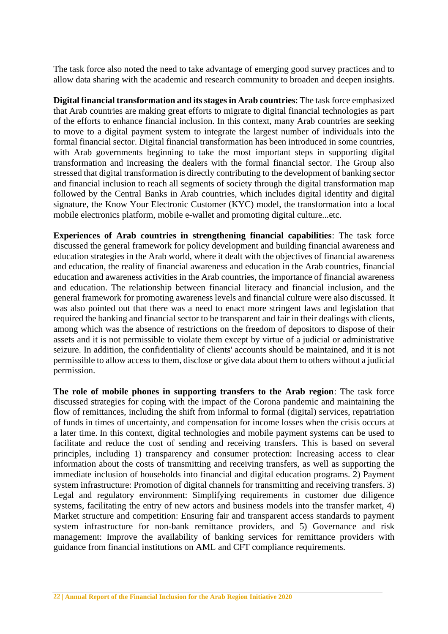The task force also noted the need to take advantage of emerging good survey practices and to allow data sharing with the academic and research community to broaden and deepen insights.

**Digital financial transformation and its stages in Arab countries**: The task force emphasized that Arab countries are making great efforts to migrate to digital financial technologies as part of the efforts to enhance financial inclusion. In this context, many Arab countries are seeking to move to a digital payment system to integrate the largest number of individuals into the formal financial sector. Digital financial transformation has been introduced in some countries, with Arab governments beginning to take the most important steps in supporting digital transformation and increasing the dealers with the formal financial sector. The Group also stressed that digital transformation is directly contributing to the development of banking sector and financial inclusion to reach all segments of society through the digital transformation map followed by the Central Banks in Arab countries, which includes digital identity and digital signature, the Know Your Electronic Customer (KYC) model, the transformation into a local mobile electronics platform, mobile e-wallet and promoting digital culture...etc.

**Experiences of Arab countries in strengthening financial capabilities**: The task force discussed the general framework for policy development and building financial awareness and education strategies in the Arab world, where it dealt with the objectives of financial awareness and education, the reality of financial awareness and education in the Arab countries, financial education and awareness activities in the Arab countries, the importance of financial awareness and education. The relationship between financial literacy and financial inclusion, and the general framework for promoting awareness levels and financial culture were also discussed. It was also pointed out that there was a need to enact more stringent laws and legislation that required the banking and financial sector to be transparent and fair in their dealings with clients, among which was the absence of restrictions on the freedom of depositors to dispose of their assets and it is not permissible to violate them except by virtue of a judicial or administrative seizure. In addition, the confidentiality of clients' accounts should be maintained, and it is not permissible to allow access to them, disclose or give data about them to others without a judicial permission.

**The role of mobile phones in supporting transfers to the Arab region**: The task force discussed strategies for coping with the impact of the Corona pandemic and maintaining the flow of remittances, including the shift from informal to formal (digital) services, repatriation of funds in times of uncertainty, and compensation for income losses when the crisis occurs at a later time. In this context, digital technologies and mobile payment systems can be used to facilitate and reduce the cost of sending and receiving transfers. This is based on several principles, including 1) transparency and consumer protection: Increasing access to clear information about the costs of transmitting and receiving transfers, as well as supporting the immediate inclusion of households into financial and digital education programs. 2) Payment system infrastructure: Promotion of digital channels for transmitting and receiving transfers. 3) Legal and regulatory environment: Simplifying requirements in customer due diligence systems, facilitating the entry of new actors and business models into the transfer market, 4) Market structure and competition: Ensuring fair and transparent access standards to payment system infrastructure for non-bank remittance providers, and 5) Governance and risk management: Improve the availability of banking services for remittance providers with guidance from financial institutions on AML and CFT compliance requirements.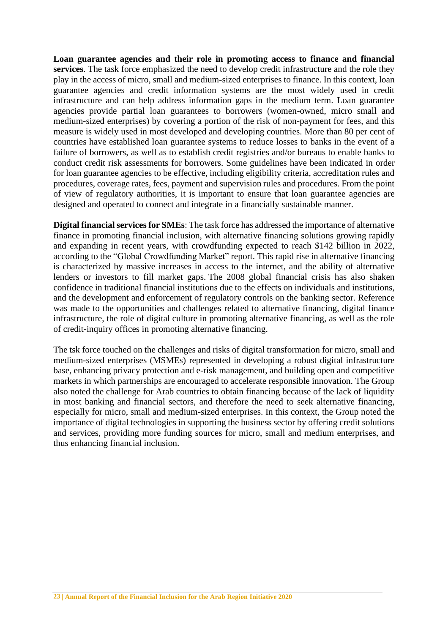**Loan guarantee agencies and their role in promoting access to finance and financial services**. The task force emphasized the need to develop credit infrastructure and the role they play in the access of micro, small and medium-sized enterprises to finance. In this context, loan guarantee agencies and credit information systems are the most widely used in credit infrastructure and can help address information gaps in the medium term. Loan guarantee agencies provide partial loan guarantees to borrowers (women-owned, micro small and medium-sized enterprises) by covering a portion of the risk of non-payment for fees, and this measure is widely used in most developed and developing countries. More than 80 per cent of countries have established loan guarantee systems to reduce losses to banks in the event of a failure of borrowers, as well as to establish credit registries and/or bureaus to enable banks to conduct credit risk assessments for borrowers. Some guidelines have been indicated in order for loan guarantee agencies to be effective, including eligibility criteria, accreditation rules and procedures, coverage rates, fees, payment and supervision rules and procedures. From the point of view of regulatory authorities, it is important to ensure that loan guarantee agencies are designed and operated to connect and integrate in a financially sustainable manner.

**Digital financial services for SMEs**: The task force has addressed the importance of alternative finance in promoting financial inclusion, with alternative financing solutions growing rapidly and expanding in recent years, with crowdfunding expected to reach \$142 billion in 2022, according to the "Global Crowdfunding Market" report. This rapid rise in alternative financing is characterized by massive increases in access to the internet, and the ability of alternative lenders or investors to fill market gaps. The 2008 global financial crisis has also shaken confidence in traditional financial institutions due to the effects on individuals and institutions, and the development and enforcement of regulatory controls on the banking sector. Reference was made to the opportunities and challenges related to alternative financing, digital finance infrastructure, the role of digital culture in promoting alternative financing, as well as the role of credit-inquiry offices in promoting alternative financing.

The tsk force touched on the challenges and risks of digital transformation for micro, small and medium-sized enterprises (MSMEs) represented in developing a robust digital infrastructure base, enhancing privacy protection and e-risk management, and building open and competitive markets in which partnerships are encouraged to accelerate responsible innovation. The Group also noted the challenge for Arab countries to obtain financing because of the lack of liquidity in most banking and financial sectors, and therefore the need to seek alternative financing, especially for micro, small and medium-sized enterprises. In this context, the Group noted the importance of digital technologies in supporting the business sector by offering credit solutions and services, providing more funding sources for micro, small and medium enterprises, and thus enhancing financial inclusion.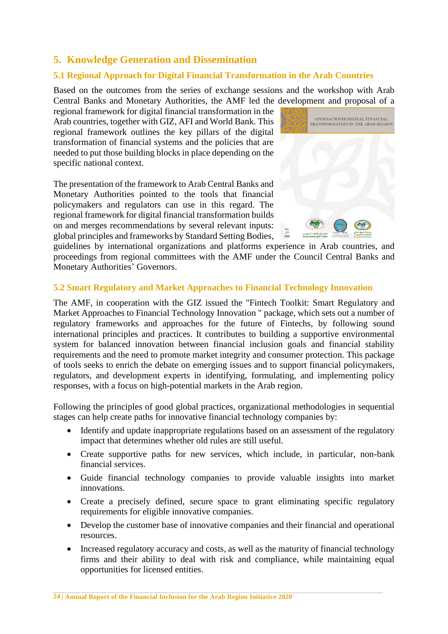# <span id="page-22-0"></span>**5. Knowledge Generation and Dissemination**

# <span id="page-22-1"></span>**5.1 Regional Approach for Digital Financial Transformation in the Arab Countries**

Based on the outcomes from the series of exchange sessions and the workshop with Arab Central Banks and Monetary Authorities, the AMF led the development and proposal of a

regional framework for digital financial transformation in the Arab countries, together with GIZ, AFI and World Bank. This regional framework outlines the key pillars of the digital transformation of financial systems and the policies that are needed to put those building blocks in place depending on the specific national context.

The presentation of the framework to Arab Central Banks and Monetary Authorities pointed to the tools that financial policymakers and regulators can use in this regard. The regional framework for digital financial transformation builds on and merges recommendations by several relevant inputs: global principles and frameworks by Standard Setting Bodies,



guidelines by international organizations and platforms experience in Arab countries, and proceedings from regional committees with the AMF under the Council Central Banks and Monetary Authorities' Governors.

### <span id="page-22-2"></span>**5.2 Smart Regulatory and Market Approaches to Financial Technology Innovation**

The AMF, in cooperation with the GIZ issued the "Fintech Toolkit: Smart Regulatory and Market Approaches to Financial Technology Innovation " package, which sets out a number of regulatory frameworks and approaches for the future of Fintechs, by following sound international principles and practices. It contributes to building a supportive environmental system for balanced innovation between financial inclusion goals and financial stability requirements and the need to promote market integrity and consumer protection. This package of tools seeks to enrich the debate on emerging issues and to support financial policymakers, regulators, and development experts in identifying, formulating, and implementing policy responses, with a focus on high-potential markets in the Arab region.

Following the principles of good global practices, organizational methodologies in sequential stages can help create paths for innovative financial technology companies by:

- Identify and update inappropriate regulations based on an assessment of the regulatory impact that determines whether old rules are still useful.
- Create supportive paths for new services, which include, in particular, non-bank financial services.
- Guide financial technology companies to provide valuable insights into market innovations.
- Create a precisely defined, secure space to grant eliminating specific regulatory requirements for eligible innovative companies.
- Develop the customer base of innovative companies and their financial and operational resources.
- Increased regulatory accuracy and costs, as well as the maturity of financial technology firms and their ability to deal with risk and compliance, while maintaining equal opportunities for licensed entities.

**24 | Annual Report of the Financial Inclusion for the Arab Region Initiative 2020**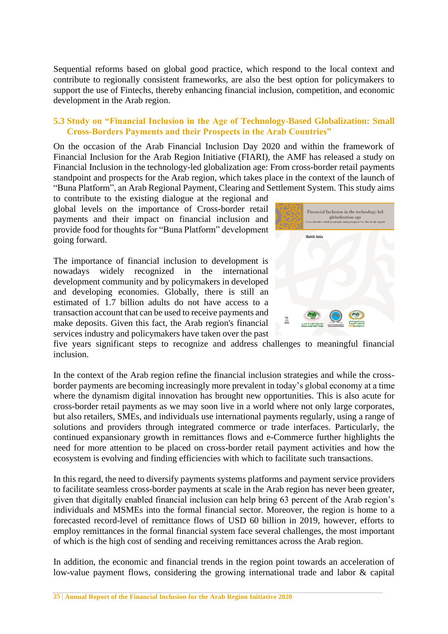Sequential reforms based on global good practice, which respond to the local context and contribute to regionally consistent frameworks, are also the best option for policymakers to support the use of Fintechs, thereby enhancing financial inclusion, competition, and economic development in the Arab region.

### <span id="page-23-0"></span>**5.3 Study on "Financial Inclusion in the Age of Technology-Based Globalization: Small Cross-Borders Payments and their Prospects in the Arab Countries"**

On the occasion of the Arab Financial Inclusion Day 2020 and within the framework of Financial Inclusion for the Arab Region Initiative (FIARI), the AMF has released a study on Financial Inclusion in the technology-led globalization age: From cross-border retail payments standpoint and prospects for the Arab region, which takes place in the context of the launch of "Buna Platform", an Arab Regional Payment, Clearing and Settlement System. This study aims

to contribute to the existing dialogue at the regional and global levels on the importance of Cross-border retail payments and their impact on financial inclusion and provide food for thoughts for "Buna Platform" development going forward.

The importance of financial inclusion to development is nowadays widely recognized in the international development community and by policymakers in developed and developing economies. Globally, there is still an estimated of 1.7 billion adults do not have access to a transaction account that can be used to receive payments and make deposits. Given this fact, the Arab region's financial services industry and policymakers have taken over the past



five years significant steps to recognize and address challenges to meaningful financial inclusion.

In the context of the Arab region refine the financial inclusion strategies and while the crossborder payments are becoming increasingly more prevalent in today's global economy at a time where the dynamism digital innovation has brought new opportunities. This is also acute for cross-border retail payments as we may soon live in a world where not only large corporates, but also retailers, SMEs, and individuals use international payments regularly, using a range of solutions and providers through integrated commerce or trade interfaces. Particularly, the continued expansionary growth in remittances flows and e-Commerce further highlights the need for more attention to be placed on cross-border retail payment activities and how the ecosystem is evolving and finding efficiencies with which to facilitate such transactions.

In this regard, the need to diversify payments systems platforms and payment service providers to facilitate seamless cross-border payments at scale in the Arab region has never been greater, given that digitally enabled financial inclusion can help bring 63 percent of the Arab region's individuals and MSMEs into the formal financial sector. Moreover, the region is home to a forecasted record-level of remittance flows of USD 60 billion in 2019, however, efforts to employ remittances in the formal financial system face several challenges, the most important of which is the high cost of sending and receiving remittances across the Arab region.

In addition, the economic and financial trends in the region point towards an acceleration of low-value payment flows, considering the growing international trade and labor & capital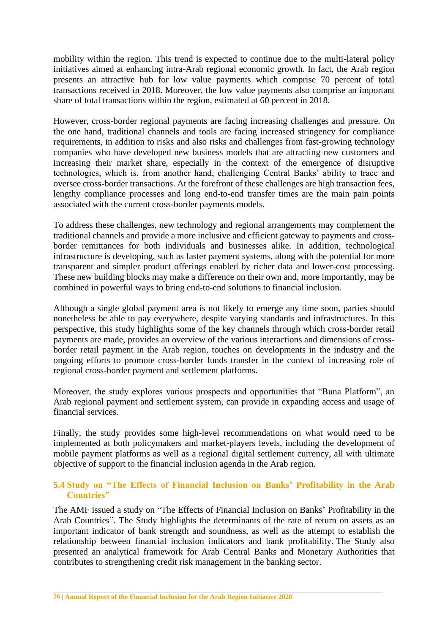mobility within the region. This trend is expected to continue due to the multi-lateral policy initiatives aimed at enhancing intra-Arab regional economic growth. In fact, the Arab region presents an attractive hub for low value payments which comprise 70 percent of total transactions received in 2018. Moreover, the low value payments also comprise an important share of total transactions within the region, estimated at 60 percent in 2018.

However, cross-border regional payments are facing increasing challenges and pressure. On the one hand, traditional channels and tools are facing increased stringency for compliance requirements, in addition to risks and also risks and challenges from fast-growing technology companies who have developed new business models that are attracting new customers and increasing their market share, especially in the context of the emergence of disruptive technologies, which is, from another hand, challenging Central Banks' ability to trace and oversee cross-border transactions. At the forefront of these challenges are high transaction fees, lengthy compliance processes and long end-to-end transfer times are the main pain points associated with the current cross-border payments models.

To address these challenges, new technology and regional arrangements may complement the traditional channels and provide a more inclusive and efficient gateway to payments and crossborder remittances for both individuals and businesses alike. In addition, technological infrastructure is developing, such as faster payment systems, along with the potential for more transparent and simpler product offerings enabled by richer data and lower-cost processing. These new building blocks may make a difference on their own and, more importantly, may be combined in powerful ways to bring end-to-end solutions to financial inclusion.

Although a single global payment area is not likely to emerge any time soon, parties should nonetheless be able to pay everywhere, despite varying standards and infrastructures. In this perspective, this study highlights some of the key channels through which cross-border retail payments are made, provides an overview of the various interactions and dimensions of crossborder retail payment in the Arab region, touches on developments in the industry and the ongoing efforts to promote cross-border funds transfer in the context of increasing role of regional cross-border payment and settlement platforms.

Moreover, the study explores various prospects and opportunities that "Buna Platform", an Arab regional payment and settlement system, can provide in expanding access and usage of financial services.

Finally, the study provides some high-level recommendations on what would need to be implemented at both policymakers and market-players levels, including the development of mobile payment platforms as well as a regional digital settlement currency, all with ultimate objective of support to the financial inclusion agenda in the Arab region.

### <span id="page-24-0"></span>**5.4 Study on "The Effects of Financial Inclusion on Banks' Profitability in the Arab Countries"**

The AMF issued a study on "The Effects of Financial Inclusion on Banks' Profitability in the Arab Countries". The Study highlights the determinants of the rate of return on assets as an important indicator of bank strength and soundness, as well as the attempt to establish the relationship between financial inclusion indicators and bank profitability. The Study also presented an analytical framework for Arab Central Banks and Monetary Authorities that contributes to strengthening credit risk management in the banking sector.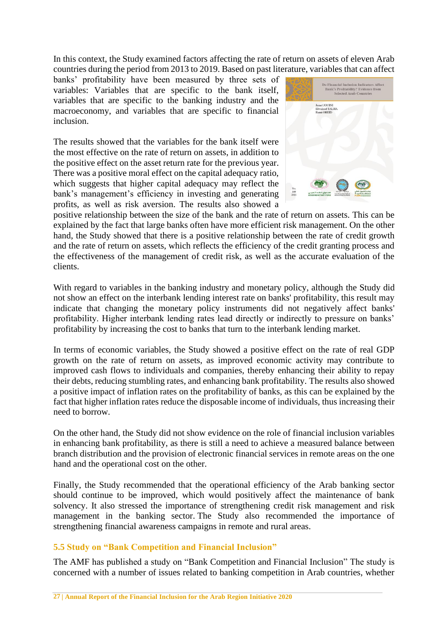In this context, the Study examined factors affecting the rate of return on assets of eleven Arab countries during the period from 2013 to 2019. Based on past literature, variables that can affect

banks' profitability have been measured by three sets of variables: Variables that are specific to the bank itself, variables that are specific to the banking industry and the macroeconomy, and variables that are specific to financial inclusion.

The results showed that the variables for the bank itself were the most effective on the rate of return on assets, in addition to the positive effect on the asset return rate for the previous year. There was a positive moral effect on the capital adequacy ratio, which suggests that higher capital adequacy may reflect the bank's management's efficiency in investing and generating profits, as well as risk aversion. The results also showed a



positive relationship between the size of the bank and the rate of return on assets. This can be explained by the fact that large banks often have more efficient risk management. On the other hand, the Study showed that there is a positive relationship between the rate of credit growth and the rate of return on assets, which reflects the efficiency of the credit granting process and the effectiveness of the management of credit risk, as well as the accurate evaluation of the clients.

With regard to variables in the banking industry and monetary policy, although the Study did not show an effect on the interbank lending interest rate on banks' profitability, this result may indicate that changing the monetary policy instruments did not negatively affect banks' profitability. Higher interbank lending rates lead directly or indirectly to pressure on banks' profitability by increasing the cost to banks that turn to the interbank lending market.

In terms of economic variables, the Study showed a positive effect on the rate of real GDP growth on the rate of return on assets, as improved economic activity may contribute to improved cash flows to individuals and companies, thereby enhancing their ability to repay their debts, reducing stumbling rates, and enhancing bank profitability. The results also showed a positive impact of inflation rates on the profitability of banks, as this can be explained by the fact that higher inflation rates reduce the disposable income of individuals, thus increasing their need to borrow.

On the other hand, the Study did not show evidence on the role of financial inclusion variables in enhancing bank profitability, as there is still a need to achieve a measured balance between branch distribution and the provision of electronic financial services in remote areas on the one hand and the operational cost on the other.

Finally, the Study recommended that the operational efficiency of the Arab banking sector should continue to be improved, which would positively affect the maintenance of bank solvency. It also stressed the importance of strengthening credit risk management and risk management in the banking sector. The Study also recommended the importance of strengthening financial awareness campaigns in remote and rural areas.

# <span id="page-25-0"></span>**5.5 Study on "Bank Competition and Financial Inclusion"**

The AMF has published a study on "Bank Competition and Financial Inclusion" The study is concerned with a number of issues related to banking competition in Arab countries, whether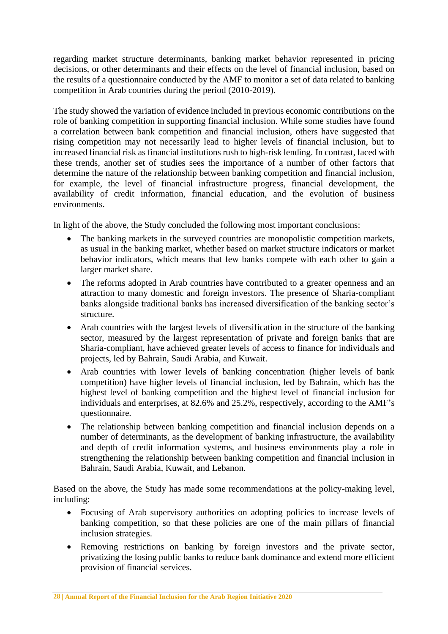regarding market structure determinants, banking market behavior represented in pricing decisions, or other determinants and their effects on the level of financial inclusion, based on the results of a questionnaire conducted by the AMF to monitor a set of data related to banking competition in Arab countries during the period (2010-2019).

The study showed the variation of evidence included in previous economic contributions on the role of banking competition in supporting financial inclusion. While some studies have found a correlation between bank competition and financial inclusion, others have suggested that rising competition may not necessarily lead to higher levels of financial inclusion, but to increased financial risk as financial institutions rush to high-risk lending. In contrast, faced with these trends, another set of studies sees the importance of a number of other factors that determine the nature of the relationship between banking competition and financial inclusion, for example, the level of financial infrastructure progress, financial development, the availability of credit information, financial education, and the evolution of business environments.

In light of the above, the Study concluded the following most important conclusions:

- The banking markets in the surveyed countries are monopolistic competition markets, as usual in the banking market, whether based on market structure indicators or market behavior indicators, which means that few banks compete with each other to gain a larger market share.
- The reforms adopted in Arab countries have contributed to a greater openness and an attraction to many domestic and foreign investors. The presence of Sharia-compliant banks alongside traditional banks has increased diversification of the banking sector's structure.
- Arab countries with the largest levels of diversification in the structure of the banking sector, measured by the largest representation of private and foreign banks that are Sharia-compliant, have achieved greater levels of access to finance for individuals and projects, led by Bahrain, Saudi Arabia, and Kuwait.
- Arab countries with lower levels of banking concentration (higher levels of bank competition) have higher levels of financial inclusion, led by Bahrain, which has the highest level of banking competition and the highest level of financial inclusion for individuals and enterprises, at 82.6% and 25.2%, respectively, according to the AMF's questionnaire.
- The relationship between banking competition and financial inclusion depends on a number of determinants, as the development of banking infrastructure, the availability and depth of credit information systems, and business environments play a role in strengthening the relationship between banking competition and financial inclusion in Bahrain, Saudi Arabia, Kuwait, and Lebanon.

Based on the above, the Study has made some recommendations at the policy-making level, including:

- Focusing of Arab supervisory authorities on adopting policies to increase levels of banking competition, so that these policies are one of the main pillars of financial inclusion strategies.
- Removing restrictions on banking by foreign investors and the private sector, privatizing the losing public banks to reduce bank dominance and extend more efficient provision of financial services.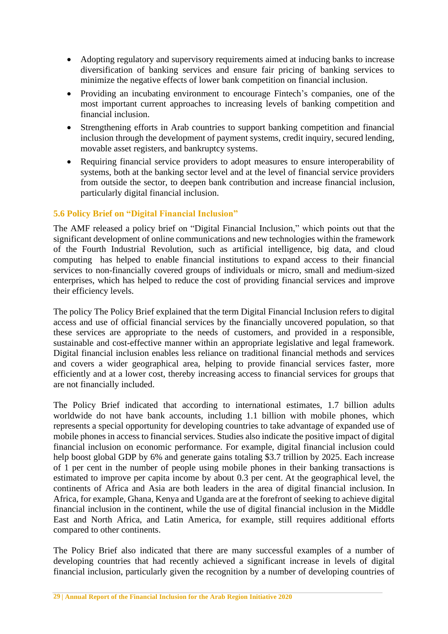- Adopting regulatory and supervisory requirements aimed at inducing banks to increase diversification of banking services and ensure fair pricing of banking services to minimize the negative effects of lower bank competition on financial inclusion.
- Providing an incubating environment to encourage Fintech's companies, one of the most important current approaches to increasing levels of banking competition and financial inclusion.
- Strengthening efforts in Arab countries to support banking competition and financial inclusion through the development of payment systems, credit inquiry, secured lending, movable asset registers, and bankruptcy systems.
- Requiring financial service providers to adopt measures to ensure interoperability of systems, both at the banking sector level and at the level of financial service providers from outside the sector, to deepen bank contribution and increase financial inclusion, particularly digital financial inclusion.

# <span id="page-27-0"></span>**5.6 Policy Brief on "Digital Financial Inclusion"**

The AMF released a policy brief on "Digital Financial Inclusion," which points out that the significant development of online communications and new technologies within the framework of the Fourth Industrial Revolution, such as artificial intelligence, big data, and cloud computing has helped to enable financial institutions to expand access to their financial services to non-financially covered groups of individuals or micro, small and medium-sized enterprises, which has helped to reduce the cost of providing financial services and improve their efficiency levels.

The policy The Policy Brief explained that the term Digital Financial Inclusion refers to digital access and use of official financial services by the financially uncovered population, so that these services are appropriate to the needs of customers, and provided in a responsible, sustainable and cost-effective manner within an appropriate legislative and legal framework. Digital financial inclusion enables less reliance on traditional financial methods and services and covers a wider geographical area, helping to provide financial services faster, more efficiently and at a lower cost, thereby increasing access to financial services for groups that are not financially included.

The Policy Brief indicated that according to international estimates, 1.7 billion adults worldwide do not have bank accounts, including 1.1 billion with mobile phones, which represents a special opportunity for developing countries to take advantage of expanded use of mobile phones in access to financial services. Studies also indicate the positive impact of digital financial inclusion on economic performance. For example, digital financial inclusion could help boost global GDP by 6% and generate gains totaling \$3.7 trillion by 2025. Each increase of 1 per cent in the number of people using mobile phones in their banking transactions is estimated to improve per capita income by about 0.3 per cent. At the geographical level, the continents of Africa and Asia are both leaders in the area of digital financial inclusion. In Africa, for example, Ghana, Kenya and Uganda are at the forefront of seeking to achieve digital financial inclusion in the continent, while the use of digital financial inclusion in the Middle East and North Africa, and Latin America, for example, still requires additional efforts compared to other continents.

The Policy Brief also indicated that there are many successful examples of a number of developing countries that had recently achieved a significant increase in levels of digital financial inclusion, particularly given the recognition by a number of developing countries of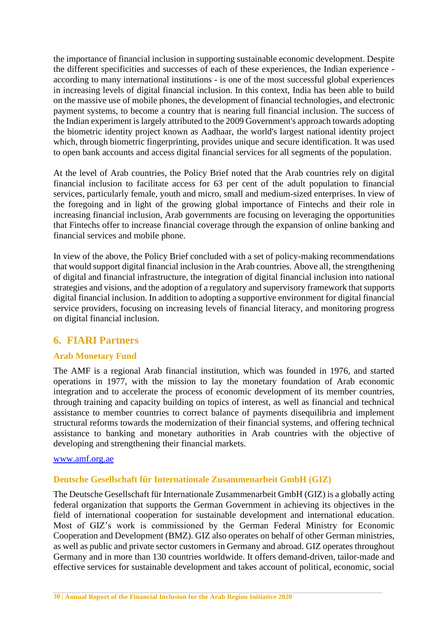the importance of financial inclusion in supporting sustainable economic development. Despite the different specificities and successes of each of these experiences, the Indian experience according to many international institutions - is one of the most successful global experiences in increasing levels of digital financial inclusion. In this context, India has been able to build on the massive use of mobile phones, the development of financial technologies, and electronic payment systems, to become a country that is nearing full financial inclusion. The success of the Indian experiment is largely attributed to the 2009 Government's approach towards adopting the biometric identity project known as Aadhaar, the world's largest national identity project which, through biometric fingerprinting, provides unique and secure identification. It was used to open bank accounts and access digital financial services for all segments of the population.

At the level of Arab countries, the Policy Brief noted that the Arab countries rely on digital financial inclusion to facilitate access for 63 per cent of the adult population to financial services, particularly female, youth and micro, small and medium-sized enterprises. In view of the foregoing and in light of the growing global importance of Fintechs and their role in increasing financial inclusion, Arab governments are focusing on leveraging the opportunities that Fintechs offer to increase financial coverage through the expansion of online banking and financial services and mobile phone.

In view of the above, the Policy Brief concluded with a set of policy-making recommendations that would support digital financial inclusion in the Arab countries. Above all, the strengthening of digital and financial infrastructure, the integration of digital financial inclusion into national strategies and visions, and the adoption of a regulatory and supervisory framework that supports digital financial inclusion. In addition to adopting a supportive environment for digital financial service providers, focusing on increasing levels of financial literacy, and monitoring progress on digital financial inclusion.

# <span id="page-28-0"></span>**6. FIARI Partners**

# <span id="page-28-1"></span>**Arab Monetary Fund**

The AMF is a regional Arab financial institution, which was founded in 1976, and started operations in 1977, with the mission to lay the monetary foundation of Arab economic integration and to accelerate the process of economic development of its member countries, through training and capacity building on topics of interest, as well as financial and technical assistance to member countries to correct balance of payments disequilibria and implement structural reforms towards the modernization of their financial systems, and offering technical assistance to banking and monetary authorities in Arab countries with the objective of developing and strengthening their financial markets.

#### [www.amf.org.ae](http://www.amf.org.ae/)

#### <span id="page-28-2"></span>**Deutsche Gesellschaft für Internationale Zusammenarbeit GmbH (GIZ)**

The Deutsche Gesellschaft für Internationale Zusammenarbeit GmbH (GIZ) is a globally acting federal organization that supports the German Government in achieving its objectives in the field of international cooperation for sustainable development and international education. Most of GIZ's work is commissioned by the German Federal Ministry for Economic Cooperation and Development (BMZ). GIZ also operates on behalf of other German ministries, as well as public and private sector customers in Germany and abroad. GIZ operates throughout Germany and in more than 130 countries worldwide. It offers demand-driven, tailor-made and effective services for sustainable development and takes account of political, economic, social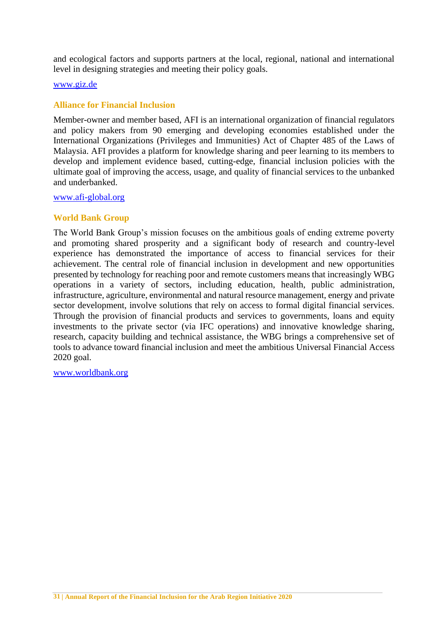and ecological factors and supports partners at the local, regional, national and international level in designing strategies and meeting their policy goals.

#### [www.giz.de](http://www.giz.de/)

#### <span id="page-29-0"></span>**Alliance for Financial Inclusion**

Member-owner and member based, AFI is an international organization of financial regulators and policy makers from 90 emerging and developing economies established under the International Organizations (Privileges and Immunities) Act of Chapter 485 of the Laws of Malaysia. AFI provides a platform for knowledge sharing and peer learning to its members to develop and implement evidence based, cutting-edge, financial inclusion policies with the ultimate goal of improving the access, usage, and quality of financial services to the unbanked and underbanked.

#### [www.afi-global.org](http://www.afi-global.org/)

### <span id="page-29-1"></span>**World Bank Group**

The World Bank Group's mission focuses on the ambitious goals of ending extreme poverty and promoting shared prosperity and a significant body of research and country-level experience has demonstrated the importance of access to financial services for their achievement. The central role of financial inclusion in development and new opportunities presented by technology for reaching poor and remote customers means that increasingly WBG operations in a variety of sectors, including education, health, public administration, infrastructure, agriculture, environmental and natural resource management, energy and private sector development, involve solutions that rely on access to formal digital financial services. Through the provision of financial products and services to governments, loans and equity investments to the private sector (via IFC operations) and innovative knowledge sharing, research, capacity building and technical assistance, the WBG brings a comprehensive set of tools to advance toward financial inclusion and meet the ambitious Universal Financial Access 2020 goal.

[www.worldbank.org](http://www.worldbank.org/)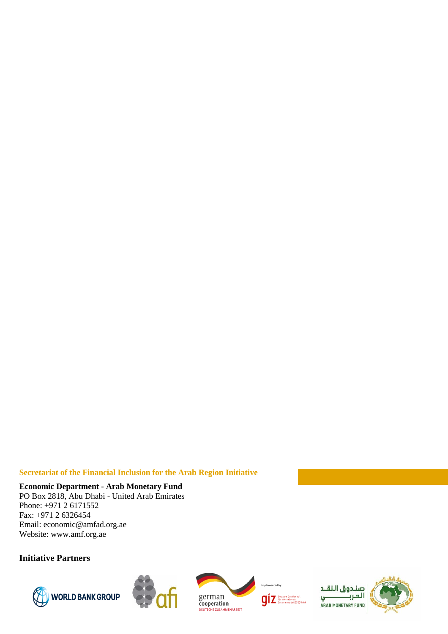#### **Secretariat of the Financial Inclusion for the Arab Region Initiative**

# **Economic Department - Arab Monetary Fund**

PO Box 2818, Abu Dhabi - United Arab Emirates Phone: +971 2 6171552 Fax: +971 2 6326454 Email: economic@amfad.org.ae Website: www.amf.org.ae

# **Initiative Partners**